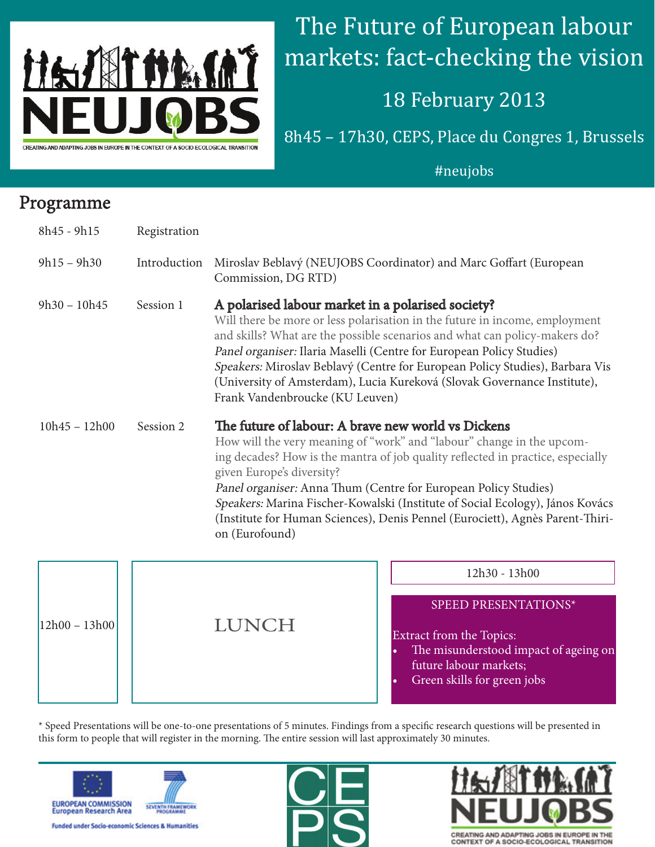

# The Future of European labour markets: fact-checking the vision

## 18 February 2013

8h45 – 17h30, CEPS, Place du Congres 1, Brussels

#### #neujobs

### Programme

| $8h45 - 9h15$   | Registration |                                                                                                                                                                                                                                                                                                                                                                                                                                                                                                    |
|-----------------|--------------|----------------------------------------------------------------------------------------------------------------------------------------------------------------------------------------------------------------------------------------------------------------------------------------------------------------------------------------------------------------------------------------------------------------------------------------------------------------------------------------------------|
| $9h15 - 9h30$   | Introduction | Miroslav Beblavý (NEUJOBS Coordinator) and Marc Goffart (European<br>Commission, DG RTD)                                                                                                                                                                                                                                                                                                                                                                                                           |
| $9h30 - 10h45$  | Session 1    | A polarised labour market in a polarised society?<br>Will there be more or less polarisation in the future in income, employment<br>and skills? What are the possible scenarios and what can policy-makers do?<br>Panel organiser: Ilaria Maselli (Centre for European Policy Studies)<br>Speakers: Miroslav Beblavý (Centre for European Policy Studies), Barbara Vis<br>(University of Amsterdam), Lucia Kureková (Slovak Governance Institute),<br>Frank Vandenbroucke (KU Leuven)              |
| $10h45 - 12h00$ | Session 2    | The future of labour: A brave new world vs Dickens<br>How will the very meaning of "work" and "labour" change in the upcom-<br>ing decades? How is the mantra of job quality reflected in practice, especially<br>given Europe's diversity?<br>Panel organiser: Anna Thum (Centre for European Policy Studies)<br>Speakers: Marina Fischer-Kowalski (Institute of Social Ecology), János Kovács<br>(Institute for Human Sciences), Denis Pennel (Eurociett), Agnès Parent-Thiri-<br>on (Eurofound) |



[\\* Speed Presentations will be one-to-one presentations of 5 minutes. Findings from a specific research questions will be presented in](http://www.ceps.eu)  this form to people that will register in the morning. The entire session will last approximately 30 minutes.